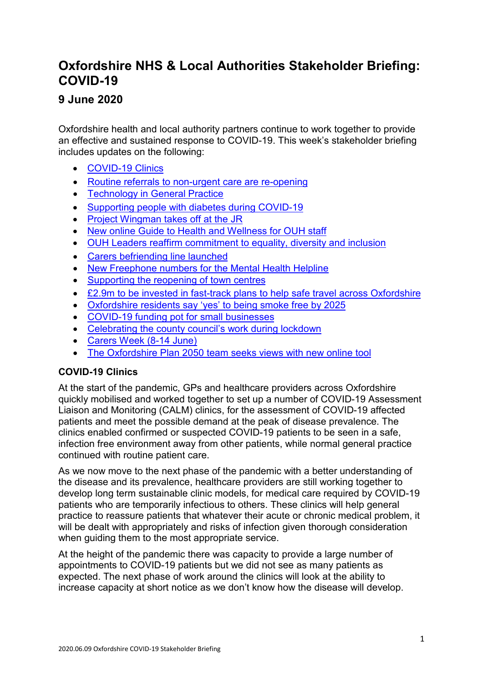# **Oxfordshire NHS & Local Authorities Stakeholder Briefing: COVID-19**

## **9 June 2020**

Oxfordshire health and local authority partners continue to work together to provide an effective and sustained response to COVID-19. This week's stakeholder briefing includes updates on the following:

- [COVID-19 Clinics](#page-0-0)
- [Routine referrals to non-urgent care are re-opening](#page-1-0)
- [Technology in General Practice](#page-2-0)
- [Supporting people with diabetes during COVID-19](#page-1-1)
- [Project Wingman takes off at the JR](#page-2-1)
- [New online Guide to Health and Wellness for OUH staff](#page-2-2)
- [OUH Leaders reaffirm commitment to equality, diversity and inclusion](#page-2-3)
- [Carers befriending line launched](#page-3-0)
- [New Freephone numbers for the Mental Health Helpline](#page-2-0)
- [Supporting the reopening of town centres](#page-2-0)
- £2.9m [to be invested in fast-track plans to help safe travel across Oxfordshire](#page-3-1)
- [Oxfordshire residents say 'yes' to being smoke free by 2025](#page-3-2)
- [COVID-19 funding pot for small businesses](#page-4-0)
- [Celebrating the county council's work during lockdown](#page-4-1)
- [Carers Week \(8-14 June\)](#page-3-0)
- [The Oxfordshire Plan 2050 team seeks views with new online tool](#page-4-2)

## <span id="page-0-0"></span>**COVID-19 Clinics**

At the start of the pandemic, GPs and healthcare providers across Oxfordshire quickly mobilised and worked together to set up a number of COVID-19 Assessment Liaison and Monitoring (CALM) clinics, for the assessment of COVID-19 affected patients and meet the possible demand at the peak of disease prevalence. The clinics enabled confirmed or suspected COVID-19 patients to be seen in a safe, infection free environment away from other patients, while normal general practice continued with routine patient care.

As we now move to the next phase of the pandemic with a better understanding of the disease and its prevalence, healthcare providers are still working together to develop long term sustainable clinic models, for medical care required by COVID-19 patients who are temporarily infectious to others. These clinics will help general practice to reassure patients that whatever their acute or chronic medical problem, it will be dealt with appropriately and risks of infection given thorough consideration when guiding them to the most appropriate service.

At the height of the pandemic there was capacity to provide a large number of appointments to COVID-19 patients but we did not see as many patients as expected. The next phase of work around the clinics will look at the ability to increase capacity at short notice as we don't know how the disease will develop.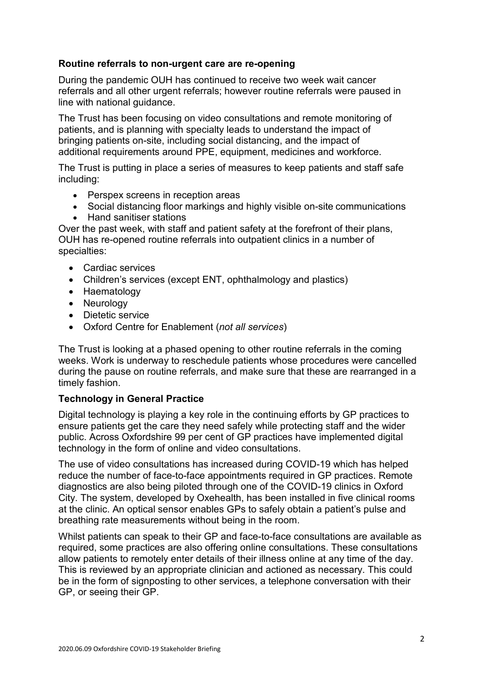#### <span id="page-1-0"></span>**Routine referrals to non-urgent care are re-opening**

During the pandemic OUH has continued to receive two week wait cancer referrals and all other urgent referrals; however routine referrals were paused in line with national guidance.

The Trust has been focusing on video consultations and remote monitoring of patients, and is planning with specialty leads to understand the impact of bringing patients on-site, including social distancing, and the impact of additional requirements around PPE, equipment, medicines and workforce.

The Trust is putting in place a series of measures to keep patients and staff safe including:

- Perspex screens in reception areas
- Social distancing floor markings and highly visible on-site communications
- Hand sanitiser stations

Over the past week, with staff and patient safety at the forefront of their plans, OUH has re-opened routine referrals into outpatient clinics in a number of specialties:

- Cardiac services
- Children's services (except ENT, ophthalmology and plastics)
- Haematology
- Neurology
- Dietetic service
- Oxford Centre for Enablement (*not all services*)

The Trust is looking at a phased opening to other routine referrals in the coming weeks. Work is underway to reschedule patients whose procedures were cancelled during the pause on routine referrals, and make sure that these are rearranged in a timely fashion.

#### **Technology in General Practice**

<span id="page-1-1"></span>Digital technology is playing a key role in the continuing efforts by GP practices to ensure patients get the care they need safely while protecting staff and the wider public. Across Oxfordshire 99 per cent of GP practices have implemented digital technology in the form of online and video consultations.

The use of video consultations has increased during COVID-19 which has helped reduce the number of face-to-face appointments required in GP practices. Remote diagnostics are also being piloted through one of the COVID-19 clinics in Oxford City. The system, developed by Oxehealth, has been installed in five clinical rooms at the clinic. An optical sensor enables GPs to safely obtain a patient's pulse and breathing rate measurements without being in the room.

Whilst patients can speak to their GP and face-to-face consultations are available as required, some practices are also offering online consultations. These consultations allow patients to remotely enter details of their illness online at any time of the day. This is reviewed by an appropriate clinician and actioned as necessary. This could be in the form of signposting to other services, a telephone conversation with their GP, or seeing their GP.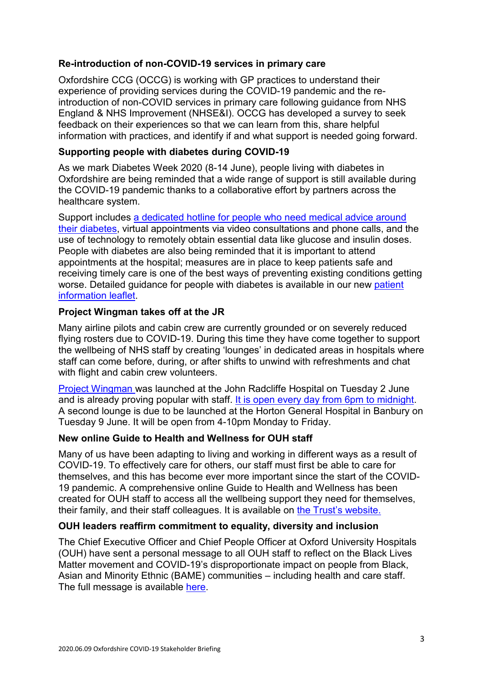#### **Re-introduction of non-COVID-19 services in primary care**

Oxfordshire CCG (OCCG) is working with GP practices to understand their experience of providing services during the COVID-19 pandemic and the reintroduction of non-COVID services in primary care following guidance from NHS England & NHS Improvement (NHSE&I). OCCG has developed a survey to seek feedback on their experiences so that we can learn from this, share helpful information with practices, and identify if and what support is needed going forward.

#### **Supporting people with diabetes during COVID-19**

As we mark Diabetes Week 2020 (8-14 June), people living with diabetes in Oxfordshire are being reminded that a wide range of support is still available during the COVID-19 pandemic thanks to a collaborative effort by partners across the healthcare system.

Support includes [a dedicated hotline for people who need medical advice around](https://www.ouh.nhs.uk/news/article.aspx?id=1225)  [their diabetes,](https://www.ouh.nhs.uk/news/article.aspx?id=1225) virtual appointments via video consultations and phone calls, and the use of technology to remotely obtain essential data like glucose and insulin doses. People with diabetes are also being reminded that it is important to attend appointments at the hospital; measures are in place to keep patients safe and receiving timely care is one of the best ways of preventing existing conditions getting worse. Detailed guidance for people with diabetes is available in our new patient [information leaflet.](https://www.ouh.nhs.uk/services/departments/specialist-medicine/diabetes/documents/65781diabetes.pdf)

#### <span id="page-2-1"></span>**Project Wingman takes off at the JR**

Many airline pilots and cabin crew are currently grounded or on severely reduced flying rosters due to COVID-19. During this time they have come together to support the wellbeing of NHS staff by creating 'lounges' in dedicated areas in hospitals where staff can come before, during, or after shifts to unwind with refreshments and chat with flight and cabin crew volunteers.

[Project Wingman](https://www.projectwingman.co.uk/) was launched at the John Radcliffe Hospital on Tuesday 2 June and is already proving popular with staff. [It is open every day from 6pm to midnight.](https://www.ouh.nhs.uk/news/article.aspx?id=1287) A second lounge is due to be launched at the Horton General Hospital in Banbury on Tuesday 9 June. It will be open from 4-10pm Monday to Friday.

#### <span id="page-2-2"></span>**New online Guide to Health and Wellness for OUH staff**

Many of us have been adapting to living and working in different ways as a result of COVID-19. To effectively care for others, our staff must first be able to care for themselves, and this has become ever more important since the start of the COVID-19 pandemic. A comprehensive online Guide to Health and Wellness has been created for OUH staff to access all the wellbeing support they need for themselves, their family, and their staff colleagues. It is available on [the Trust's](https://www.ouh.nhs.uk/working-for-us/staff/occupational-health/staff-wellness/default.aspx) website.

#### <span id="page-2-3"></span>**OUH leaders reaffirm commitment to equality, diversity and inclusion**

<span id="page-2-0"></span>The Chief Executive Officer and Chief People Officer at Oxford University Hospitals (OUH) have sent a personal message to all OUH staff to reflect on the Black Lives Matter movement and COVID-19's disproportionate impact on people from Black, Asian and Minority Ethnic (BAME) communities – including health and care staff. The full message is available [here.](https://www.ouh.nhs.uk/news/article.aspx?id=1290)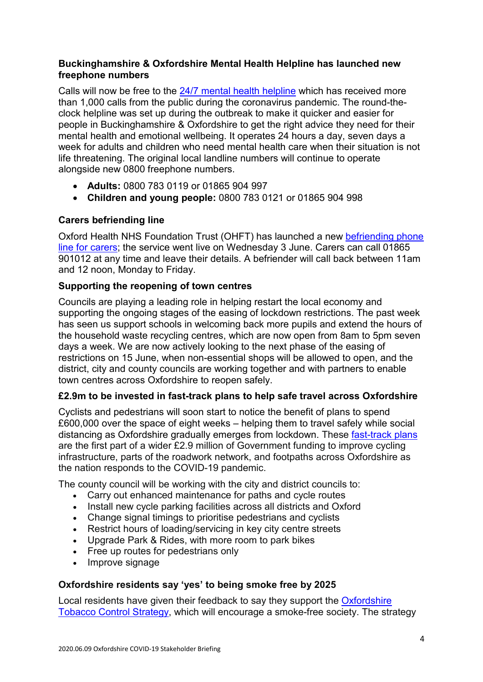#### **Buckinghamshire & Oxfordshire Mental Health Helpline has launched new freephone numbers**

Calls will now be free to the  $24/7$  mental health helpline which has received more than 1,000 calls from the public during the coronavirus pandemic. The round-theclock helpline was set up during the outbreak to make it quicker and easier for people in Buckinghamshire & Oxfordshire to get the right advice they need for their mental health and emotional wellbeing. It operates 24 hours a day, seven days a week for adults and children who need mental health care when their situation is not life threatening. The original local landline numbers will continue to operate alongside new 0800 freephone numbers.

- **Adults:** 0800 783 0119 or 01865 904 997
- **Children and young people:** 0800 783 0121 or 01865 904 998

#### <span id="page-3-0"></span>**Carers befriending line**

Oxford Health NHS Foundation Trust (OHFT) has launched a new [befriending phone](https://www.oxfordhealth.nhs.uk/news/new-befriending-phone-line-for-family-friends-and-carers/)  [line for carers;](https://www.oxfordhealth.nhs.uk/news/new-befriending-phone-line-for-family-friends-and-carers/) the service went live on Wednesday 3 June. Carers can call 01865 901012 at any time and leave their details. A befriender will call back between 11am and 12 noon, Monday to Friday.

#### **Supporting the reopening of town centres**

Councils are playing a leading role in helping restart the local economy and supporting the ongoing stages of the easing of lockdown restrictions. The past week has seen us support schools in welcoming back more pupils and extend the hours of the household waste recycling centres, which are now open from 8am to 5pm seven days a week. We are now actively looking to the next phase of the easing of restrictions on 15 June, when non-essential shops will be allowed to open, and the district, city and county councils are working together and with partners to enable town centres across Oxfordshire to reopen safely.

#### <span id="page-3-1"></span>**£2.9m to be invested in fast-track plans to help safe travel across Oxfordshire**

Cyclists and pedestrians will soon start to notice the benefit of plans to spend £600,000 over the space of eight weeks – helping them to travel safely while social distancing as Oxfordshire gradually emerges from lockdown. These [fast-track plans](https://news.oxfordshire.gov.uk/oxfordshire-to-invest-29m--in-urgent-travel-recovery-plans/) are the first part of a wider £2.9 million of Government funding to improve cycling infrastructure, parts of the roadwork network, and footpaths across Oxfordshire as the nation responds to the COVID-19 pandemic.

The county council will be working with the city and district councils to:

- Carry out enhanced maintenance for paths and cycle routes
- Install new cycle parking facilities across all districts and Oxford
- Change signal timings to prioritise pedestrians and cyclists
- Restrict hours of loading/servicing in key city centre streets
- Upgrade Park & Rides, with more room to park bikes
- Free up routes for pedestrians only
- Improve signage

#### <span id="page-3-2"></span>**Oxfordshire residents say 'yes' to being smoke free by 2025**

Local residents have given their feedback to say they support the [Oxfordshire](https://www.oxfordshire.gov.uk/sites/default/files/file/public-health/OxfordshireTobaccoControlStrategy.pdf)  [Tobacco Control Strategy,](https://www.oxfordshire.gov.uk/sites/default/files/file/public-health/OxfordshireTobaccoControlStrategy.pdf) which will encourage a smoke-free society. The strategy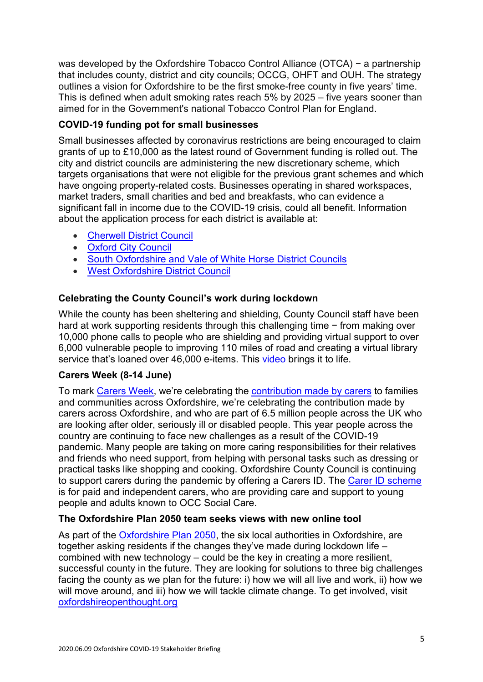was developed by the Oxfordshire Tobacco Control Alliance (OTCA) − a partnership that includes county, district and city councils; OCCG, OHFT and OUH. The strategy outlines a vision for Oxfordshire to be the first smoke-free county in five years' time. This is defined when adult smoking rates reach 5% by 2025 – five years sooner than aimed for in the Government's national Tobacco Control Plan for England.

## <span id="page-4-0"></span>**COVID-19 funding pot for small businesses**

Small businesses affected by coronavirus restrictions are being encouraged to claim grants of up to £10,000 as the latest round of Government funding is rolled out. The city and district councils are administering the new discretionary scheme, which targets organisations that were not eligible for the previous grant schemes and which have ongoing property-related costs. Businesses operating in shared workspaces, market traders, small charities and bed and breakfasts, who can evidence a significant fall in income due to the COVID-19 crisis, could all benefit. Information about the application process for each district is available at:

- [Cherwell District Council](https://www.cherwell.gov.uk/info/258/coronavirus/675/coronavirus-guidance-for-businesses/5)
- [Oxford City Council](https://www.oxford.gov.uk/info/20301/coronavirus_information_and_guidance/1376/oxford_city_council_discretionary_grant_fund)
- [South Oxfordshire and Vale of White Horse District Councils](https://www.svbs.co.uk/top-up-scheme/)
- [West Oxfordshire District Council](https://www.westoxon.gov.uk/business-and-licensing/coronavirus-business-and-licensing/)

## <span id="page-4-1"></span>**Celebrating the County Council's work during lockdown**

While the county has been sheltering and shielding, County Council staff have been hard at work supporting residents through this challenging time − from making over 10,000 phone calls to people who are shielding and providing virtual support to over 6,000 vulnerable people to improving 110 miles of road and creating a virtual library service that's loaned over 46,000 e-items. This [video](https://youtu.be/U4ql2c3jBL4) brings it to life.

## **Carers Week (8-14 June)**

To mark [Carers Week,](https://www.carersweek.org/) we're celebrating the [contribution made by carers](https://news.oxfordshire.gov.uk/pledge-your-support-for-carers-week/) to families and communities across Oxfordshire, we're celebrating the contribution made by carers across Oxfordshire, and who are part of 6.5 million people across the UK who are looking after older, seriously ill or disabled people. This year people across the country are continuing to face new challenges as a result of the COVID-19 pandemic. Many people are taking on more caring responsibilities for their relatives and friends who need support, from helping with personal tasks such as dressing or practical tasks like shopping and cooking. Oxfordshire County Council is continuing to support carers during the pandemic by offering a Carers ID. The [Carer ID scheme](https://news.oxfordshire.gov.uk/coronavirus-carer-id-scheme-launched-during-lockdown/) is for paid and independent carers, who are providing care and support to young people and adults known to OCC Social Care.

## <span id="page-4-2"></span>**The Oxfordshire Plan 2050 team seeks views with new online tool**

As part of the [Oxfordshire Plan 2050,](https://oxfordshireplan.org/) the six local authorities in Oxfordshire, are together asking residents if the changes they've made during lockdown life – combined with new technology – could be the key in creating a more resilient, successful county in the future. They are looking for solutions to three big challenges facing the county as we plan for the future: i) how we will all live and work, ii) how we will move around, and iii) how we will tackle climate change. To get involved, visit [oxfordshireopenthought.org](http://www.oxfordshireopenthought.org/)